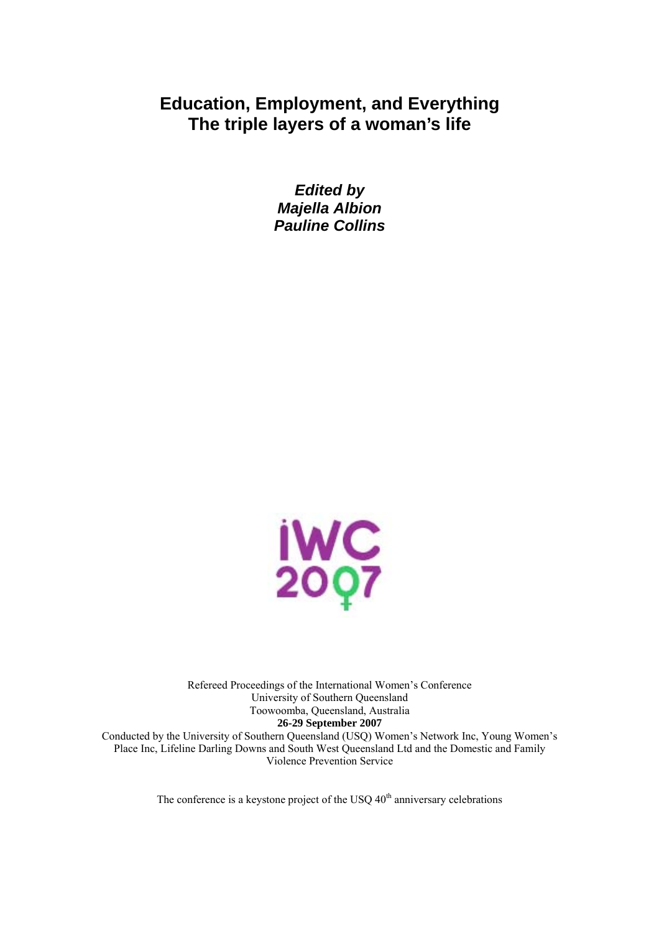# **Education, Employment, and Everything The triple layers of a woman's life**

*Edited by Majella Albion Pauline Collins* 



Refereed Proceedings of the International Women's Conference University of Southern Queensland Toowoomba, Queensland, Australia **26-29 September 2007**  Conducted by the University of Southern Queensland (USQ) Women's Network Inc, Young Women's

Place Inc, Lifeline Darling Downs and South West Queensland Ltd and the Domestic and Family Violence Prevention Service

The conference is a keystone project of the USQ  $40<sup>th</sup>$  anniversary celebrations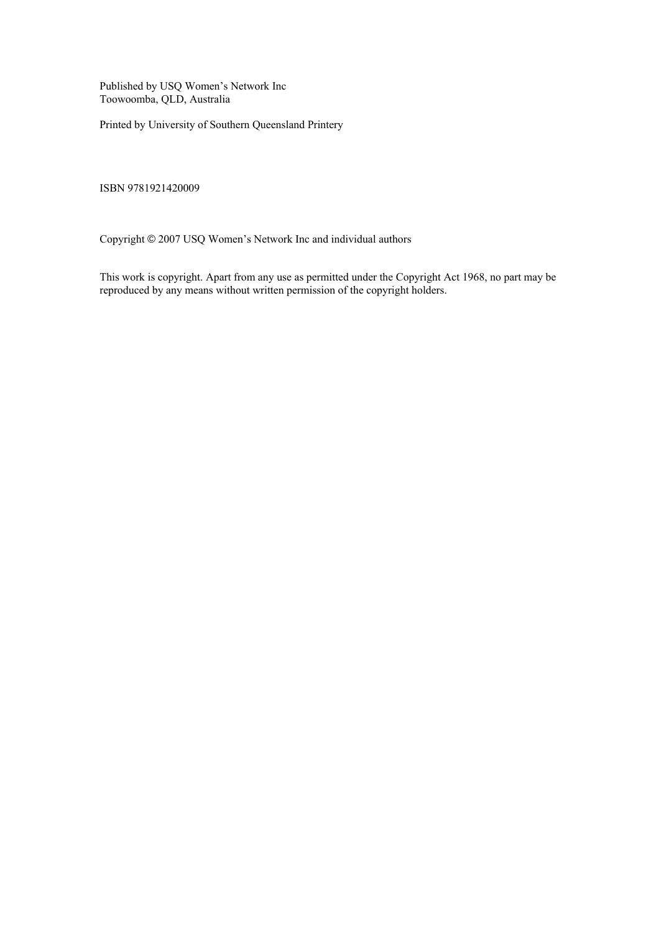Published by USQ Women's Network Inc Toowoomba, QLD, Australia

Printed by University of Southern Queensland Printery

ISBN 9781921420009

Copyright © 2007 USQ Women's Network Inc and individual authors

This work is copyright. Apart from any use as permitted under the Copyright Act 1968, no part may be reproduced by any means without written permission of the copyright holders.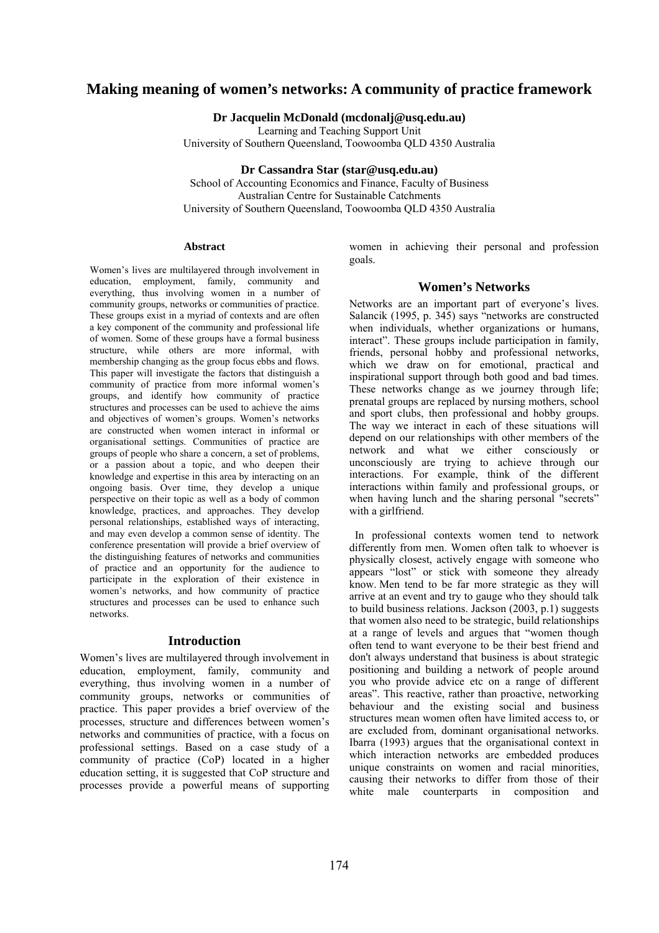# **Making meaning of women's networks: A community of practice framework**

**Dr Jacquelin McDonald (mcdonalj@usq.edu.au)** 

Learning and Teaching Support Unit

University of Southern Queensland, Toowoomba QLD 4350 Australia

**Dr Cassandra Star (star@usq.edu.au)** 

School of Accounting Economics and Finance, Faculty of Business Australian Centre for Sustainable Catchments University of Southern Queensland, Toowoomba QLD 4350 Australia

#### **Abstract**

Women's lives are multilayered through involvement in education, employment, family, community and everything, thus involving women in a number of community groups, networks or communities of practice. These groups exist in a myriad of contexts and are often a key component of the community and professional life of women. Some of these groups have a formal business structure, while others are more informal, with membership changing as the group focus ebbs and flows. This paper will investigate the factors that distinguish a community of practice from more informal women's groups, and identify how community of practice structures and processes can be used to achieve the aims and objectives of women's groups. Women's networks are constructed when women interact in informal or organisational settings. Communities of practice are groups of people who share a concern, a set of problems, or a passion about a topic, and who deepen their knowledge and expertise in this area by interacting on an ongoing basis. Over time, they develop a unique perspective on their topic as well as a body of common knowledge, practices, and approaches. They develop personal relationships, established ways of interacting, and may even develop a common sense of identity. The conference presentation will provide a brief overview of the distinguishing features of networks and communities of practice and an opportunity for the audience to participate in the exploration of their existence in women's networks, and how community of practice structures and processes can be used to enhance such networks.

#### **Introduction**

Women's lives are multilayered through involvement in education, employment, family, community and everything, thus involving women in a number of community groups, networks or communities of practice. This paper provides a brief overview of the processes, structure and differences between women's networks and communities of practice, with a focus on professional settings. Based on a case study of a community of practice (CoP) located in a higher education setting, it is suggested that CoP structure and processes provide a powerful means of supporting women in achieving their personal and profession goals.

### **Women's Networks**

Networks are an important part of everyone's lives. Salancik (1995, p. 345) says "networks are constructed when individuals, whether organizations or humans, interact". These groups include participation in family, friends, personal hobby and professional networks, which we draw on for emotional, practical and inspirational support through both good and bad times. These networks change as we journey through life; prenatal groups are replaced by nursing mothers, school and sport clubs, then professional and hobby groups. The way we interact in each of these situations will depend on our relationships with other members of the network and what we either consciously or unconsciously are trying to achieve through our interactions. For example, think of the different interactions within family and professional groups, or when having lunch and the sharing personal "secrets" with a girlfriend.

 In professional contexts women tend to network differently from men. Women often talk to whoever is physically closest, actively engage with someone who appears "lost" or stick with someone they already know. Men tend to be far more strategic as they will arrive at an event and try to gauge who they should talk to build business relations. Jackson (2003, p.1) suggests that women also need to be strategic, build relationships at a range of levels and argues that "women though often tend to want everyone to be their best friend and don't always understand that business is about strategic positioning and building a network of people around you who provide advice etc on a range of different areas". This reactive, rather than proactive, networking behaviour and the existing social and business structures mean women often have limited access to, or are excluded from, dominant organisational networks. Ibarra (1993) argues that the organisational context in which interaction networks are embedded produces unique constraints on women and racial minorities, causing their networks to differ from those of their white male counterparts in composition and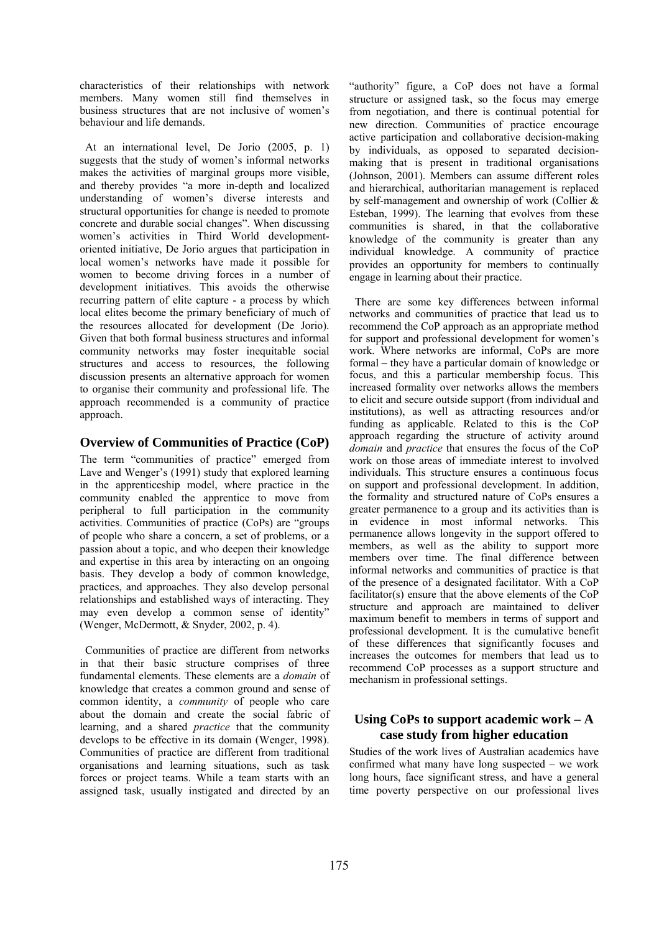characteristics of their relationships with network members. Many women still find themselves in business structures that are not inclusive of women's behaviour and life demands.

 At an international level, De Jorio (2005, p. 1) suggests that the study of women's informal networks makes the activities of marginal groups more visible, and thereby provides "a more in-depth and localized understanding of women's diverse interests and structural opportunities for change is needed to promote concrete and durable social changes". When discussing women's activities in Third World developmentoriented initiative, De Jorio argues that participation in local women's networks have made it possible for women to become driving forces in a number of development initiatives. This avoids the otherwise recurring pattern of elite capture - a process by which local elites become the primary beneficiary of much of the resources allocated for development (De Jorio). Given that both formal business structures and informal community networks may foster inequitable social structures and access to resources, the following discussion presents an alternative approach for women to organise their community and professional life. The approach recommended is a community of practice approach.

## **Overview of Communities of Practice (CoP)**

The term "communities of practice" emerged from Lave and Wenger's (1991) study that explored learning in the apprenticeship model, where practice in the community enabled the apprentice to move from peripheral to full participation in the community activities. Communities of practice (CoPs) are "groups of people who share a concern, a set of problems, or a passion about a topic, and who deepen their knowledge and expertise in this area by interacting on an ongoing basis. They develop a body of common knowledge, practices, and approaches. They also develop personal relationships and established ways of interacting. They may even develop a common sense of identity" (Wenger, McDermott, & Snyder, 2002, p. 4).

 Communities of practice are different from networks in that their basic structure comprises of three fundamental elements. These elements are a *domain* of knowledge that creates a common ground and sense of common identity, a *community* of people who care about the domain and create the social fabric of learning, and a shared *practice* that the community develops to be effective in its domain (Wenger, 1998). Communities of practice are different from traditional organisations and learning situations, such as task forces or project teams. While a team starts with an assigned task, usually instigated and directed by an

"authority" figure, a CoP does not have a formal structure or assigned task, so the focus may emerge from negotiation, and there is continual potential for new direction. Communities of practice encourage active participation and collaborative decision-making by individuals, as opposed to separated decisionmaking that is present in traditional organisations (Johnson, 2001). Members can assume different roles and hierarchical, authoritarian management is replaced by self-management and ownership of work (Collier & Esteban, 1999). The learning that evolves from these communities is shared, in that the collaborative knowledge of the community is greater than any individual knowledge. A community of practice provides an opportunity for members to continually engage in learning about their practice.

 There are some key differences between informal networks and communities of practice that lead us to recommend the CoP approach as an appropriate method for support and professional development for women's work. Where networks are informal, CoPs are more formal – they have a particular domain of knowledge or focus, and this a particular membership focus. This increased formality over networks allows the members to elicit and secure outside support (from individual and institutions), as well as attracting resources and/or funding as applicable. Related to this is the CoP approach regarding the structure of activity around *domain* and *practice* that ensures the focus of the CoP work on those areas of immediate interest to involved individuals. This structure ensures a continuous focus on support and professional development. In addition, the formality and structured nature of CoPs ensures a greater permanence to a group and its activities than is in evidence in most informal networks. This permanence allows longevity in the support offered to members, as well as the ability to support more members over time. The final difference between informal networks and communities of practice is that of the presence of a designated facilitator. With a CoP facilitator(s) ensure that the above elements of the CoP structure and approach are maintained to deliver maximum benefit to members in terms of support and professional development. It is the cumulative benefit of these differences that significantly focuses and increases the outcomes for members that lead us to recommend CoP processes as a support structure and mechanism in professional settings.

# **Using CoPs to support academic work – A case study from higher education**

Studies of the work lives of Australian academics have confirmed what many have long suspected – we work long hours, face significant stress, and have a general time poverty perspective on our professional lives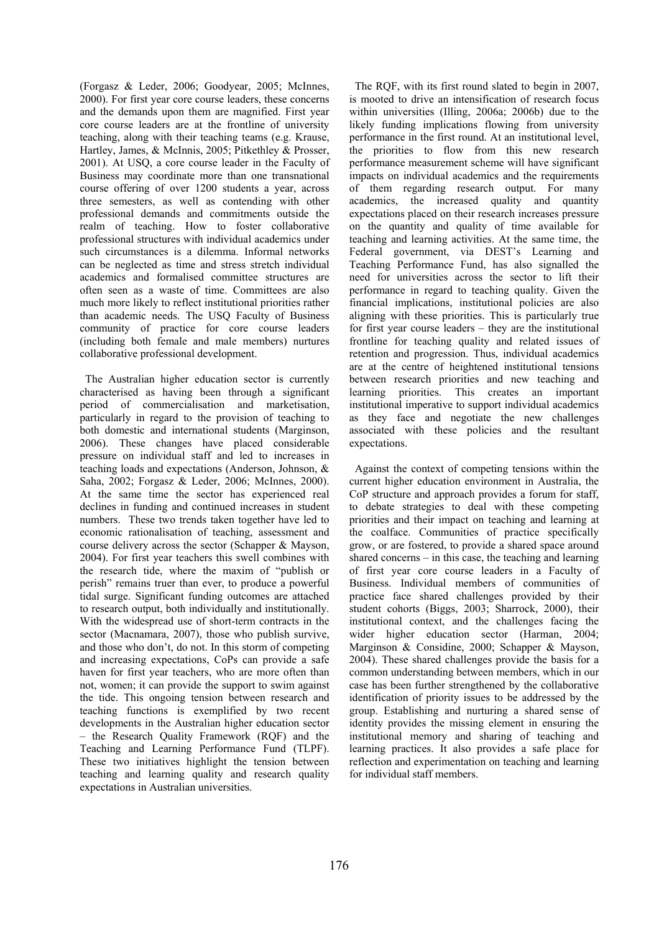(Forgasz & Leder, 2006; Goodyear, 2005; McInnes, 2000). For first year core course leaders, these concerns and the demands upon them are magnified. First year core course leaders are at the frontline of university teaching, along with their teaching teams (e.g. Krause, Hartley, James, & McInnis, 2005; Pitkethley & Prosser, 2001). At USQ, a core course leader in the Faculty of Business may coordinate more than one transnational course offering of over 1200 students a year, across three semesters, as well as contending with other professional demands and commitments outside the realm of teaching. How to foster collaborative professional structures with individual academics under such circumstances is a dilemma. Informal networks can be neglected as time and stress stretch individual academics and formalised committee structures are often seen as a waste of time. Committees are also much more likely to reflect institutional priorities rather than academic needs. The USQ Faculty of Business community of practice for core course leaders (including both female and male members) nurtures collaborative professional development.

 The Australian higher education sector is currently characterised as having been through a significant period of commercialisation and marketisation, particularly in regard to the provision of teaching to both domestic and international students (Marginson, 2006). These changes have placed considerable pressure on individual staff and led to increases in teaching loads and expectations (Anderson, Johnson, & Saha, 2002; Forgasz & Leder, 2006; McInnes, 2000). At the same time the sector has experienced real declines in funding and continued increases in student numbers. These two trends taken together have led to economic rationalisation of teaching, assessment and course delivery across the sector (Schapper & Mayson, 2004). For first year teachers this swell combines with the research tide, where the maxim of "publish or perish" remains truer than ever, to produce a powerful tidal surge. Significant funding outcomes are attached to research output, both individually and institutionally. With the widespread use of short-term contracts in the sector (Macnamara, 2007), those who publish survive, and those who don't, do not. In this storm of competing and increasing expectations, CoPs can provide a safe haven for first year teachers, who are more often than not, women; it can provide the support to swim against the tide. This ongoing tension between research and teaching functions is exemplified by two recent developments in the Australian higher education sector – the Research Quality Framework (RQF) and the Teaching and Learning Performance Fund (TLPF). These two initiatives highlight the tension between teaching and learning quality and research quality expectations in Australian universities.

 The RQF, with its first round slated to begin in 2007, is mooted to drive an intensification of research focus within universities (Illing, 2006a; 2006b) due to the likely funding implications flowing from university performance in the first round. At an institutional level, the priorities to flow from this new research performance measurement scheme will have significant impacts on individual academics and the requirements of them regarding research output. For many academics, the increased quality and quantity expectations placed on their research increases pressure on the quantity and quality of time available for teaching and learning activities. At the same time, the Federal government, via DEST's Learning and Teaching Performance Fund, has also signalled the need for universities across the sector to lift their performance in regard to teaching quality. Given the financial implications, institutional policies are also aligning with these priorities. This is particularly true for first year course leaders – they are the institutional frontline for teaching quality and related issues of retention and progression. Thus, individual academics are at the centre of heightened institutional tensions between research priorities and new teaching and learning priorities. This creates an important institutional imperative to support individual academics as they face and negotiate the new challenges associated with these policies and the resultant expectations.

 Against the context of competing tensions within the current higher education environment in Australia, the CoP structure and approach provides a forum for staff, to debate strategies to deal with these competing priorities and their impact on teaching and learning at the coalface. Communities of practice specifically grow, or are fostered, to provide a shared space around shared concerns – in this case, the teaching and learning of first year core course leaders in a Faculty of Business. Individual members of communities of practice face shared challenges provided by their student cohorts (Biggs, 2003; Sharrock, 2000), their institutional context, and the challenges facing the wider higher education sector (Harman, 2004; Marginson & Considine, 2000; Schapper & Mayson, 2004). These shared challenges provide the basis for a common understanding between members, which in our case has been further strengthened by the collaborative identification of priority issues to be addressed by the group. Establishing and nurturing a shared sense of identity provides the missing element in ensuring the institutional memory and sharing of teaching and learning practices. It also provides a safe place for reflection and experimentation on teaching and learning for individual staff members.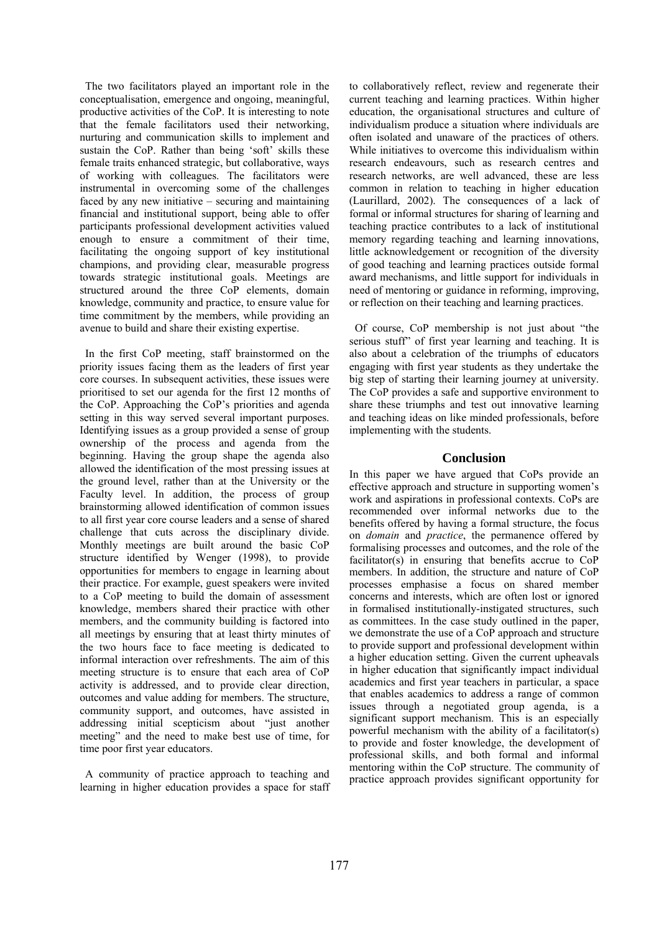The two facilitators played an important role in the conceptualisation, emergence and ongoing, meaningful, productive activities of the CoP. It is interesting to note that the female facilitators used their networking, nurturing and communication skills to implement and sustain the CoP. Rather than being 'soft' skills these female traits enhanced strategic, but collaborative, ways of working with colleagues. The facilitators were instrumental in overcoming some of the challenges faced by any new initiative – securing and maintaining financial and institutional support, being able to offer participants professional development activities valued enough to ensure a commitment of their time, facilitating the ongoing support of key institutional champions, and providing clear, measurable progress towards strategic institutional goals. Meetings are structured around the three CoP elements, domain knowledge, community and practice, to ensure value for time commitment by the members, while providing an avenue to build and share their existing expertise.

 In the first CoP meeting, staff brainstormed on the priority issues facing them as the leaders of first year core courses. In subsequent activities, these issues were prioritised to set our agenda for the first 12 months of the CoP. Approaching the CoP's priorities and agenda setting in this way served several important purposes. Identifying issues as a group provided a sense of group ownership of the process and agenda from the beginning. Having the group shape the agenda also allowed the identification of the most pressing issues at the ground level, rather than at the University or the Faculty level. In addition, the process of group brainstorming allowed identification of common issues to all first year core course leaders and a sense of shared challenge that cuts across the disciplinary divide. Monthly meetings are built around the basic CoP structure identified by Wenger (1998), to provide opportunities for members to engage in learning about their practice. For example, guest speakers were invited to a CoP meeting to build the domain of assessment knowledge, members shared their practice with other members, and the community building is factored into all meetings by ensuring that at least thirty minutes of the two hours face to face meeting is dedicated to informal interaction over refreshments. The aim of this meeting structure is to ensure that each area of CoP activity is addressed, and to provide clear direction, outcomes and value adding for members. The structure, community support, and outcomes, have assisted in addressing initial scepticism about "just another meeting" and the need to make best use of time, for time poor first year educators.

 A community of practice approach to teaching and learning in higher education provides a space for staff to collaboratively reflect, review and regenerate their current teaching and learning practices. Within higher education, the organisational structures and culture of individualism produce a situation where individuals are often isolated and unaware of the practices of others. While initiatives to overcome this individualism within research endeavours, such as research centres and research networks, are well advanced, these are less common in relation to teaching in higher education (Laurillard, 2002). The consequences of a lack of formal or informal structures for sharing of learning and teaching practice contributes to a lack of institutional memory regarding teaching and learning innovations, little acknowledgement or recognition of the diversity of good teaching and learning practices outside formal award mechanisms, and little support for individuals in need of mentoring or guidance in reforming, improving, or reflection on their teaching and learning practices.

 Of course, CoP membership is not just about "the serious stuff" of first year learning and teaching. It is also about a celebration of the triumphs of educators engaging with first year students as they undertake the big step of starting their learning journey at university. The CoP provides a safe and supportive environment to share these triumphs and test out innovative learning and teaching ideas on like minded professionals, before implementing with the students.

## **Conclusion**

In this paper we have argued that CoPs provide an effective approach and structure in supporting women's work and aspirations in professional contexts. CoPs are recommended over informal networks due to the benefits offered by having a formal structure, the focus on *domain* and *practice*, the permanence offered by formalising processes and outcomes, and the role of the facilitator(s) in ensuring that benefits accrue to CoP members. In addition, the structure and nature of CoP processes emphasise a focus on shared member concerns and interests, which are often lost or ignored in formalised institutionally-instigated structures, such as committees. In the case study outlined in the paper, we demonstrate the use of a CoP approach and structure to provide support and professional development within a higher education setting. Given the current upheavals in higher education that significantly impact individual academics and first year teachers in particular, a space that enables academics to address a range of common issues through a negotiated group agenda, is a significant support mechanism. This is an especially powerful mechanism with the ability of a facilitator(s) to provide and foster knowledge, the development of professional skills, and both formal and informal mentoring within the CoP structure. The community of practice approach provides significant opportunity for